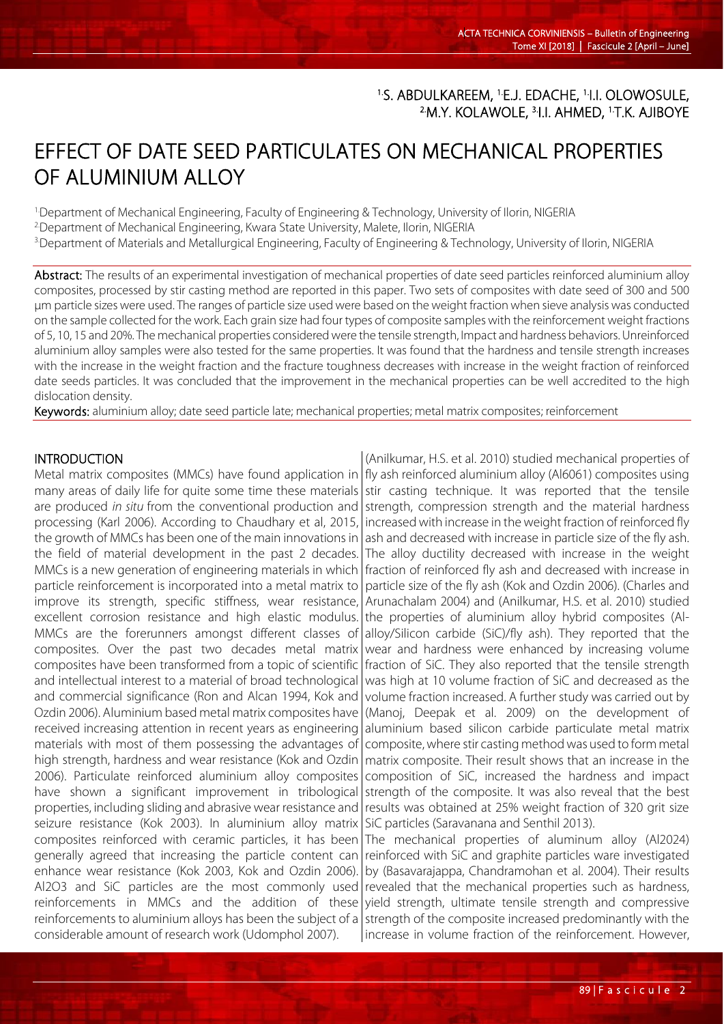# <sup>1.</sup>S. ABDULKAREEM, <sup>1.</sup>E.J. EDACHE, <sup>1.</sup>I.I. OLOWOSULE, <sup>2</sup>.M.Y. KOLAWOLE, <sup>3.</sup>I.I. AHMED, <sup>1.</sup>T.K. AJIBOYE

## EFFECT OF DATE SEED PARTICULATES ON MECHANICAL PROPERTIES OF ALUMINIUM ALLOY

1.Department of Mechanical Engineering, Faculty of Engineering & Technology, University of Ilorin, NIGERIA

2.Department of Mechanical Engineering, Kwara State University, Malete, Ilorin, NIGERIA

3.Department of Materials and Metallurgical Engineering, Faculty of Engineering & Technology, University of Ilorin, NIGERIA

Abstract: The results of an experimental investigation of mechanical properties of date seed particles reinforced aluminium alloy composites, processed by stir casting method are reported in this paper. Two sets of composites with date seed of 300 and 500 µm particle sizes were used. The ranges of particle size used were based on the weight fraction when sieve analysis was conducted on the sample collected for the work. Each grain size had four types of composite samples with the reinforcement weight fractions of 5, 10, 15 and 20%. The mechanical properties considered were the tensile strength, Impact and hardness behaviors. Unreinforced aluminium alloy samples were also tested for the same properties. It was found that the hardness and tensile strength increases with the increase in the weight fraction and the fracture toughness decreases with increase in the weight fraction of reinforced date seeds particles. It was concluded that the improvement in the mechanical properties can be well accredited to the high dislocation density.

Keywords: aluminium alloy; date seed particle late; mechanical properties; metal matrix composites; reinforcement

## INTRODUCTION

L

Metal matrix composites (MMCs) have found application in | fly ash reinforced aluminium alloy (Al6061) composites using many areas of daily life for quite some time these materials are produced *in situ* from the conventional production and processing (Karl 2006). According to Chaudhary et al, 2015, the growth of MMCs has been one of the main innovations in the field of material development in the past 2 decades. MMCs is a new generation of engineering materials in which particle reinforcement is incorporated into a metal matrix to improve its strength, specific stiffness, wear resistance, excellent corrosion resistance and high elastic modulus. MMCs are the forerunners amongst different classes of composites. Over the past two decades metal matrix composites have been transformed from a topic of scientific and intellectual interest to a material of broad technological and commercial significance (Ron and Alcan 1994, Kok and Ozdin 2006). Aluminium based metal matrix composites have received increasing attention in recent years as engineering materials with most of them possessing the advantages of high strength, hardness and wear resistance (Kok and Ozdin 2006). Particulate reinforced aluminium alloy composites have shown a significant improvement in tribological properties, including sliding and abrasive wear resistance and seizure resistance (Kok 2003). In aluminium alloy matrix composites reinforced with ceramic particles, it has been generally agreed that increasing the particle content can enhance wear resistance (Kok 2003, Kok and Ozdin 2006). Al2O3 and SiC particles are the most commonly used reinforcements in MMCs and the addition of these reinforcements to aluminium alloys has been the subject of a considerable amount of research work (Udomphol 2007).

(Anilkumar, H.S. et al. 2010) studied mechanical properties of stir casting technique. It was reported that the tensile strength, compression strength and the material hardness increased with increase in the weight fraction of reinforced fly ash and decreased with increase in particle size of the fly ash. The alloy ductility decreased with increase in the weight fraction of reinforced fly ash and decreased with increase in particle size of the fly ash (Kok and Ozdin 2006). (Charles and Arunachalam 2004) and (Anilkumar, H.S. et al. 2010) studied the properties of aluminium alloy hybrid composites (Alalloy/Silicon carbide (SiC)/fly ash). They reported that the wear and hardness were enhanced by increasing volume fraction of SiC. They also reported that the tensile strength was high at 10 volume fraction of SiC and decreased as the volume fraction increased. A further study was carried out by (Manoj, Deepak et al. 2009) on the development of aluminium based silicon carbide particulate metal matrix composite, where stir casting method was used to form metal matrix composite. Their result shows that an increase in the composition of SiC, increased the hardness and impact strength of the composite. It was also reveal that the best results was obtained at 25% weight fraction of 320 grit size SiC particles (Saravanana and Senthil 2013).

The mechanical properties of aluminum alloy (Al2024) reinforced with SiC and graphite particles ware investigated by (Basavarajappa, Chandramohan et al. 2004). Their results revealed that the mechanical properties such as hardness, yield strength, ultimate tensile strength and compressive strength of the composite increased predominantly with the increase in volume fraction of the reinforcement. However,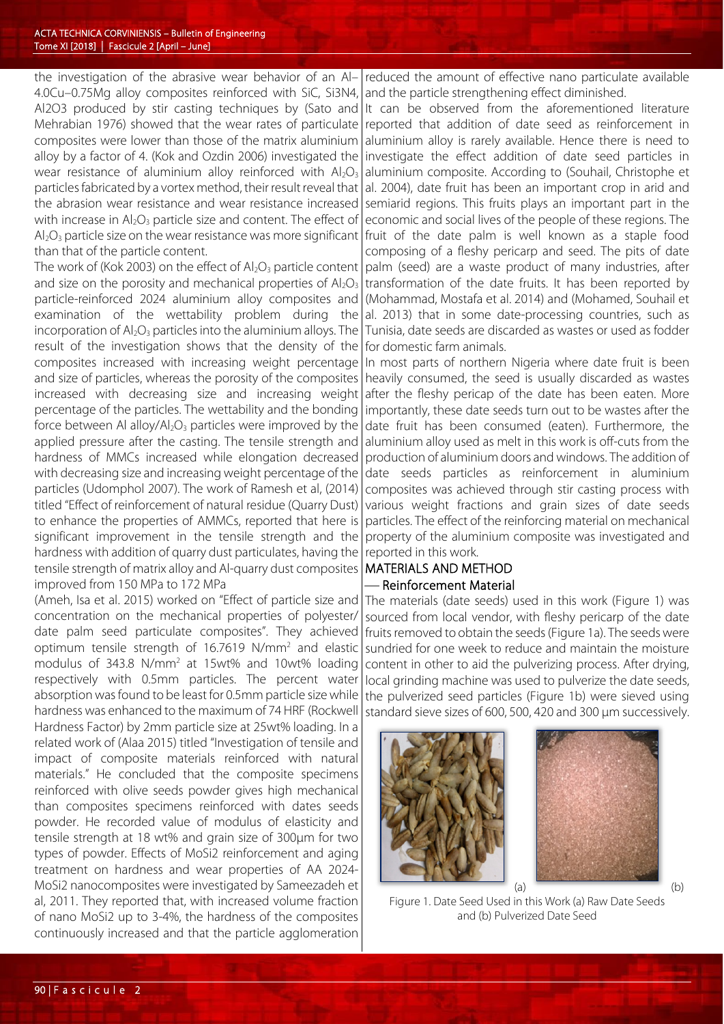the investigation of the abrasive wear behavior of an Al– 4.0Cu–0.75Mg alloy composites reinforced with SiC, Si3N4, Al2O3 produced by stir casting techniques by (Sato and Mehrabian 1976) showed that the wear rates of particulate composites were lower than those of the matrix aluminium alloy by a factor of 4. (Kok and Ozdin 2006) investigated the wear resistance of aluminium alloy reinforced with  $Al_2O_3$ particles fabricated by a vortex method, their result reveal that the abrasion wear resistance and wear resistance increased with increase in  $Al_2O_3$  particle size and content. The effect of  $Al_2O_3$  particle size on the wear resistance was more significant than that of the particle content.

The work of (Kok 2003) on the effect of  $Al_2O_3$  particle content and size on the porosity and mechanical properties of  $Al_2O_3$ particle-reinforced 2024 aluminium alloy composites and examination of the wettability problem during the incorporation of  $Al_2O_3$  particles into the aluminium alloys. The result of the investigation shows that the density of the composites increased with increasing weight percentage and size of particles, whereas the porosity of the composites increased with decreasing size and increasing weight percentage of the particles. The wettability and the bonding force between Al alloy/ $Al_2O_3$  particles were improved by the applied pressure after the casting. The tensile strength and hardness of MMCs increased while elongation decreased with decreasing size and increasing weight percentage of the particles (Udomphol 2007). The work of Ramesh et al, (2014) titled "Effect of reinforcement of natural residue (Quarry Dust) to enhance the properties of AMMCs, reported that here is significant improvement in the tensile strength and the hardness with addition of quarry dust particulates, having the tensile strength of matrix alloy and Al-quarry dust composites improved from 150 MPa to 172 MPa

(Ameh, Isa et al. 2015) worked on "Effect of particle size and concentration on the mechanical properties of polyester/ date palm seed particulate composites". They achieved optimum tensile strength of 16.7619 N/mm2 and elastic modulus of 343.8 N/mm2 at 15wt% and 10wt% loading respectively with 0.5mm particles. The percent water absorption was found to be least for 0.5mm particle size while hardness was enhanced to the maximum of 74 HRF (Rockwell Hardness Factor) by 2mm particle size at 25wt% loading. In a related work of (Alaa 2015) titled "Investigation of tensile and impact of composite materials reinforced with natural materials." He concluded that the composite specimens reinforced with olive seeds powder gives high mechanical than composites specimens reinforced with dates seeds powder. He recorded value of modulus of elasticity and tensile strength at 18 wt% and grain size of 300μm for two types of powder. Effects of MoSi2 reinforcement and aging treatment on hardness and wear properties of AA 2024- MoSi2 nanocomposites were investigated by Sameezadeh et al, 2011. They reported that, with increased volume fraction of nano MoSi2 up to 3-4%, the hardness of the composites continuously increased and that the particle agglomeration

reduced the amount of effective nano particulate available and the particle strengthening effect diminished.

It can be observed from the aforementioned literature reported that addition of date seed as reinforcement in aluminium alloy is rarely available. Hence there is need to investigate the effect addition of date seed particles in aluminium composite. According to (Souhail, Christophe et al. 2004), date fruit has been an important crop in arid and semiarid regions. This fruits plays an important part in the economic and social lives of the people of these regions. The fruit of the date palm is well known as a staple food composing of a fleshy pericarp and seed. The pits of date palm (seed) are a waste product of many industries, after transformation of the date fruits. It has been reported by (Mohammad, Mostafa et al. 2014) and (Mohamed, Souhail et al. 2013) that in some date-processing countries, such as Tunisia, date seeds are discarded as wastes or used as fodder for domestic farm animals.

In most parts of northern Nigeria where date fruit is been heavily consumed, the seed is usually discarded as wastes after the fleshy pericap of the date has been eaten. More importantly, these date seeds turn out to be wastes after the date fruit has been consumed (eaten). Furthermore, the aluminium alloy used as melt in this work is off-cuts from the production of aluminium doors and windows. The addition of date seeds particles as reinforcement in aluminium composites was achieved through stir casting process with various weight fractions and grain sizes of date seeds particles. The effect of the reinforcing material on mechanical property of the aluminium composite was investigated and reported in this work.

## MATERIALS AND METHOD - Reinforcement Material

The materials (date seeds) used in this work (Figure 1) was sourced from local vendor, with fleshy pericarp of the date fruits removed to obtain the seeds (Figure 1a). The seeds were sundried for one week to reduce and maintain the moisture content in other to aid the pulverizing process. After drying, local grinding machine was used to pulverize the date seeds, the pulverized seed particles (Figure 1b) were sieved using standard sieve sizes of 600, 500, 420 and 300 µm successively.





Figure 1. Date Seed Used in this Work (a) Raw Date Seeds and (b) Pulverized Date Seed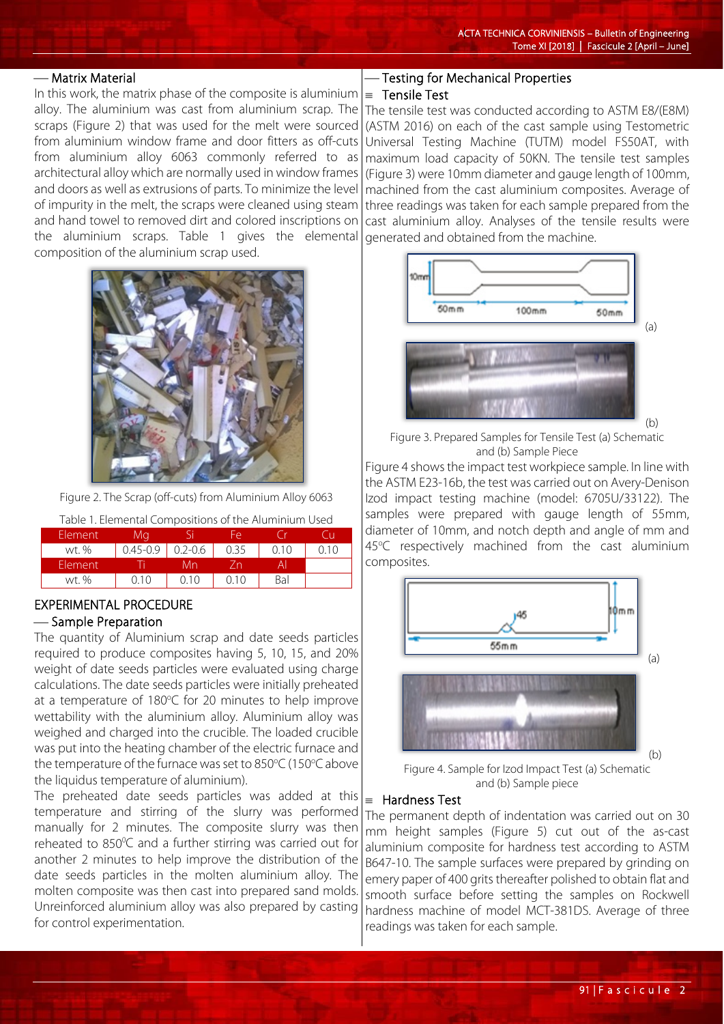#### Matrix Material

In this work, the matrix phase of the composite is aluminium alloy. The aluminium was cast from aluminium scrap. The scraps (Figure 2) that was used for the melt were sourced from aluminium window frame and door fitters as off-cuts from aluminium alloy 6063 commonly referred to as architectural alloy which are normally used in window frames and doors as well as extrusions of parts. To minimize the level of impurity in the melt, the scraps were cleaned using steam and hand towel to removed dirt and colored inscriptions on the aluminium scraps. Table 1 gives the elemental composition of the aluminium scrap used.



Figure 2. The Scrap (off-cuts) from Aluminium Alloy 6063

Table 1. Elemental Compositions of the Aluminium Used

| Element | Mq           |             | FΑ   |      |      |
|---------|--------------|-------------|------|------|------|
| wt. %   | $0.45 - 0.9$ | $0.2 - 0.6$ | 0.35 | 0.10 | ი 10 |
| Element |              | Лn          |      |      |      |
| wt. %   | 0. I O       | (110)       | ი 10 | Bal  |      |

## EXPERIMENTAL PROCEDURE

## Sample Preparation

The quantity of Aluminium scrap and date seeds particles required to produce composites having 5, 10, 15, and 20% weight of date seeds particles were evaluated using charge calculations. The date seeds particles were initially preheated at a temperature of 180°C for 20 minutes to help improve wettability with the aluminium alloy. Aluminium alloy was weighed and charged into the crucible. The loaded crucible was put into the heating chamber of the electric furnace and the temperature of the furnace was set to 850°C (150°C above the liquidus temperature of aluminium).

The preheated date seeds particles was added at this temperature and stirring of the slurry was performed manually for 2 minutes. The composite slurry was then reheated to  $850^{\circ}$ C and a further stirring was carried out for another 2 minutes to help improve the distribution of the date seeds particles in the molten aluminium alloy. The molten composite was then cast into prepared sand molds. Unreinforced aluminium alloy was also prepared by casting for control experimentation.

## Testing for Mechanical Properties

## ≡ Tensile Test

The tensile test was conducted according to ASTM E8/(E8M) (ASTM 2016) on each of the cast sample using Testometric Universal Testing Machine (TUTM) model FS50AT, with maximum load capacity of 50KN. The tensile test samples (Figure 3) were 10mm diameter and gauge length of 100mm, machined from the cast aluminium composites. Average of three readings was taken for each sample prepared from the cast aluminium alloy. Analyses of the tensile results were generated and obtained from the machine.



Figure 3. Prepared Samples for Tensile Test (a) Schematic and (b) Sample Piece

Figure 4 shows the impact test workpiece sample. In line with the ASTM E23-16b, the test was carried out on Avery-Denison Izod impact testing machine (model: 6705U/33122). The samples were prepared with gauge length of 55mm, diameter of 10mm, and notch depth and angle of mm and 45°C respectively machined from the cast aluminium composites.



Figure 4. Sample for Izod Impact Test (a) Schematic and (b) Sample piece

## ≡ Hardness Test

The permanent depth of indentation was carried out on 30 mm height samples (Figure 5) cut out of the as-cast aluminium composite for hardness test according to ASTM B647-10. The sample surfaces were prepared by grinding on emery paper of 400 grits thereafter polished to obtain flat and smooth surface before setting the samples on Rockwell hardness machine of model MCT-381DS. Average of three readings was taken for each sample.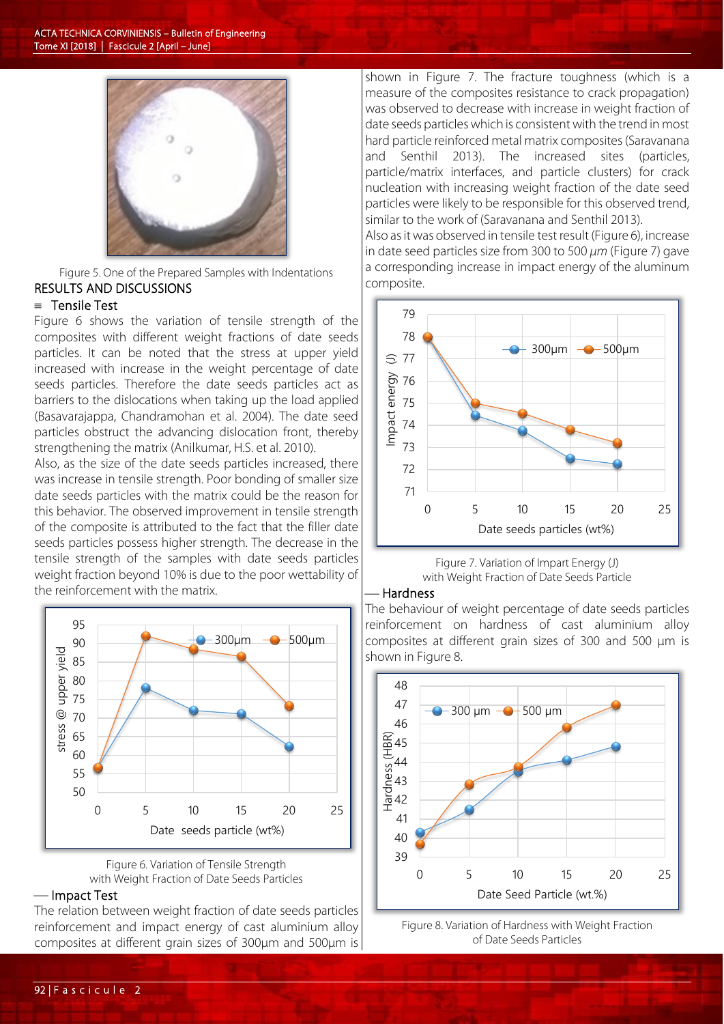

Figure 5. One of the Prepared Samples with Indentations RESULTS AND DISCUSSIONS

#### ≡ Tensile Test

Figure 6 shows the variation of tensile strength of the composites with different weight fractions of date seeds particles. It can be noted that the stress at upper yield increased with increase in the weight percentage of date seeds particles. Therefore the date seeds particles act as barriers to the dislocations when taking up the load applied (Basavarajappa, Chandramohan et al. 2004). The date seed particles obstruct the advancing dislocation front, thereby strengthening the matrix (Anilkumar, H.S. et al. 2010).

Also, as the size of the date seeds particles increased, there was increase in tensile strength. Poor bonding of smaller size date seeds particles with the matrix could be the reason for this behavior. The observed improvement in tensile strength of the composite is attributed to the fact that the filler date seeds particles possess higher strength. The decrease in the tensile strength of the samples with date seeds particles weight fraction beyond 10% is due to the poor wettability of the reinforcement with the matrix.



Figure 6. Variation of Tensile Strength with Weight Fraction of Date Seeds Particles

### — Impact Test

The relation between weight fraction of date seeds particles reinforcement and impact energy of cast aluminium alloy composites at different grain sizes of 300µm and 500µm is

shown in Figure 7. The fracture toughness (which is a measure of the composites resistance to crack propagation) was observed to decrease with increase in weight fraction of date seeds particles which is consistent with the trend in most hard particle reinforced metal matrix composites (Saravanana and Senthil 2013). The increased sites (particles, particle/matrix interfaces, and particle clusters) for crack nucleation with increasing weight fraction of the date seed particles were likely to be responsible for this observed trend, similar to the work of (Saravanana and Senthil 2013).

Also as it was observed in tensile test result (Figure 6), increase in date seed particles size from 300 to 500 *µm* (Figure 7) gave a corresponding increase in impact energy of the aluminum composite.



Figure 7. Variation of Impart Energy (J) with Weight Fraction of Date Seeds Particle

## Hardness

The behaviour of weight percentage of date seeds particles reinforcement on hardness of cast aluminium alloy composites at different grain sizes of 300 and 500 µm is shown in Figure 8.



Figure 8. Variation of Hardness with Weight Fraction of Date Seeds Particles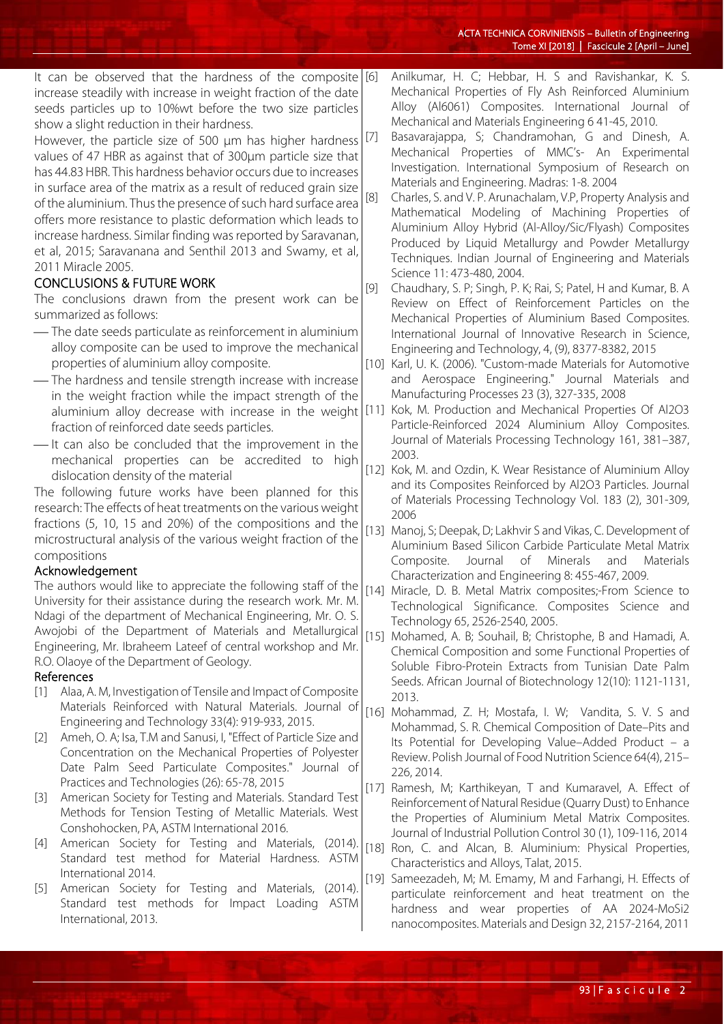| It can be observed that the hardness of the composite [6]                                                                                                                                                                                                                                                                                                                                                                                                                                            |        | Anilkumar, H. C; Hebbar, H. S and Ravishankar, K. S.                                                 |
|------------------------------------------------------------------------------------------------------------------------------------------------------------------------------------------------------------------------------------------------------------------------------------------------------------------------------------------------------------------------------------------------------------------------------------------------------------------------------------------------------|--------|------------------------------------------------------------------------------------------------------|
| increase steadily with increase in weight fraction of the date                                                                                                                                                                                                                                                                                                                                                                                                                                       |        | Mechanical Properties of Fly Ash Reinforced Aluminium                                                |
| seeds particles up to 10%wt before the two size particles                                                                                                                                                                                                                                                                                                                                                                                                                                            |        | Alloy (Al6061) Composites. International Journal of                                                  |
| show a slight reduction in their hardness.                                                                                                                                                                                                                                                                                                                                                                                                                                                           |        | Mechanical and Materials Engineering 641-45, 2010.                                                   |
| However, the particle size of 500 $\mu$ m has higher hardness [7]                                                                                                                                                                                                                                                                                                                                                                                                                                    |        | Basavarajappa, S; Chandramohan, G and Dinesh, A.                                                     |
| values of 47 HBR as against that of 300µm particle size that                                                                                                                                                                                                                                                                                                                                                                                                                                         |        | Mechanical Properties of MMC's- An Experimental                                                      |
| has 44.83 HBR. This hardness behavior occurs due to increases                                                                                                                                                                                                                                                                                                                                                                                                                                        |        | Investigation. International Symposium of Research on                                                |
|                                                                                                                                                                                                                                                                                                                                                                                                                                                                                                      |        | Materials and Engineering. Madras: 1-8. 2004                                                         |
| in surface area of the matrix as a result of reduced grain size                                                                                                                                                                                                                                                                                                                                                                                                                                      |        | Charles, S. and V. P. Arunachalam, V.P, Property Analysis and                                        |
| of the aluminium. Thus the presence of such hard surface area                                                                                                                                                                                                                                                                                                                                                                                                                                        |        | Mathematical Modeling of Machining Properties of                                                     |
| offers more resistance to plastic deformation which leads to                                                                                                                                                                                                                                                                                                                                                                                                                                         |        | Aluminium Alloy Hybrid (Al-Alloy/Sic/Flyash) Composites                                              |
| increase hardness. Similar finding was reported by Saravanan,                                                                                                                                                                                                                                                                                                                                                                                                                                        |        | Produced by Liquid Metallurgy and Powder Metallurgy                                                  |
| et al, 2015; Saravanana and Senthil 2013 and Swamy, et al,                                                                                                                                                                                                                                                                                                                                                                                                                                           |        | Techniques. Indian Journal of Engineering and Materials                                              |
| 2011 Miracle 2005.                                                                                                                                                                                                                                                                                                                                                                                                                                                                                   |        | Science 11: 473-480, 2004.                                                                           |
| <b>CONCLUSIONS &amp; FUTURE WORK</b>                                                                                                                                                                                                                                                                                                                                                                                                                                                                 | $[9]$  | Chaudhary, S. P; Singh, P. K; Rai, S; Patel, H and Kumar, B. A                                       |
| The conclusions drawn from the present work can be                                                                                                                                                                                                                                                                                                                                                                                                                                                   |        | Review on Effect of Reinforcement Particles on the                                                   |
| summarized as follows:                                                                                                                                                                                                                                                                                                                                                                                                                                                                               |        | Mechanical Properties of Aluminium Based Composites.                                                 |
| -The date seeds particulate as reinforcement in aluminium                                                                                                                                                                                                                                                                                                                                                                                                                                            |        | International Journal of Innovative Research in Science,                                             |
| alloy composite can be used to improve the mechanical                                                                                                                                                                                                                                                                                                                                                                                                                                                |        | Engineering and Technology, 4, (9), 8377-8382, 2015                                                  |
| properties of aluminium alloy composite.                                                                                                                                                                                                                                                                                                                                                                                                                                                             |        | [10] Karl, U. K. (2006). "Custom-made Materials for Automotive                                       |
| -The hardness and tensile strength increase with increase                                                                                                                                                                                                                                                                                                                                                                                                                                            |        | and Aerospace Engineering." Journal Materials and                                                    |
| in the weight fraction while the impact strength of the                                                                                                                                                                                                                                                                                                                                                                                                                                              |        | Manufacturing Processes 23 (3), 327-335, 2008                                                        |
| aluminium alloy decrease with increase in the weight                                                                                                                                                                                                                                                                                                                                                                                                                                                 |        | [11] Kok, M. Production and Mechanical Properties Of Al2O3                                           |
| fraction of reinforced date seeds particles.                                                                                                                                                                                                                                                                                                                                                                                                                                                         |        | Particle-Reinforced 2024 Aluminium Alloy Composites.                                                 |
| -It can also be concluded that the improvement in the                                                                                                                                                                                                                                                                                                                                                                                                                                                |        | Journal of Materials Processing Technology 161, 381-387,                                             |
| mechanical properties can be accredited to high                                                                                                                                                                                                                                                                                                                                                                                                                                                      |        | 2003.                                                                                                |
| dislocation density of the material                                                                                                                                                                                                                                                                                                                                                                                                                                                                  |        | [12] Kok, M. and Ozdin, K. Wear Resistance of Aluminium Alloy                                        |
| The following future works have been planned for this                                                                                                                                                                                                                                                                                                                                                                                                                                                |        | and its Composites Reinforced by Al2O3 Particles. Journal                                            |
| research: The effects of heat treatments on the various weight                                                                                                                                                                                                                                                                                                                                                                                                                                       |        | of Materials Processing Technology Vol. 183 (2), 301-309,<br>2006                                    |
| fractions (5, 10, 15 and 20%) of the compositions and the                                                                                                                                                                                                                                                                                                                                                                                                                                            | $[13]$ | Manoj, S; Deepak, D; Lakhvir S and Vikas, C. Development of                                          |
| microstructural analysis of the various weight fraction of the                                                                                                                                                                                                                                                                                                                                                                                                                                       |        | Aluminium Based Silicon Carbide Particulate Metal Matrix                                             |
| compositions                                                                                                                                                                                                                                                                                                                                                                                                                                                                                         |        | Composite.<br>Journal<br>of<br>Minerals<br>and<br>Materials                                          |
| Acknowledgement                                                                                                                                                                                                                                                                                                                                                                                                                                                                                      |        | Characterization and Engineering 8: 455-467, 2009.                                                   |
| The authors would like to appreciate the following staff of the                                                                                                                                                                                                                                                                                                                                                                                                                                      |        | [14] Miracle, D. B. Metal Matrix composites;-From Science to                                         |
| University for their assistance during the research work. Mr. M.                                                                                                                                                                                                                                                                                                                                                                                                                                     |        | Technological Significance. Composites Science and                                                   |
| Ndagi of the department of Mechanical Engineering, Mr. O. S.                                                                                                                                                                                                                                                                                                                                                                                                                                         |        | Technology 65, 2526-2540, 2005.                                                                      |
| Awojobi of the Department of Materials and Metallurgical                                                                                                                                                                                                                                                                                                                                                                                                                                             |        | [15] Mohamed, A. B; Souhail, B; Christophe, B and Hamadi, A.                                         |
| Engineering, Mr. Ibraheem Lateef of central workshop and Mr.                                                                                                                                                                                                                                                                                                                                                                                                                                         |        | Chemical Composition and some Functional Properties of                                               |
| R.O. Olaoye of the Department of Geology.                                                                                                                                                                                                                                                                                                                                                                                                                                                            |        | Soluble Fibro-Protein Extracts from Tunisian Date Palm                                               |
| References                                                                                                                                                                                                                                                                                                                                                                                                                                                                                           |        | Seeds. African Journal of Biotechnology 12(10): 1121-1131,                                           |
| Alaa, A. M, Investigation of Tensile and Impact of Composite<br>$[1]$                                                                                                                                                                                                                                                                                                                                                                                                                                |        | 2013.                                                                                                |
| Materials Reinforced with Natural Materials. Journal of                                                                                                                                                                                                                                                                                                                                                                                                                                              | $[16]$ | Mohammad, Z. H; Mostafa, I. W; Vandita, S. V. S and                                                  |
| Engineering and Technology 33(4): 919-933, 2015.                                                                                                                                                                                                                                                                                                                                                                                                                                                     |        | Mohammad, S. R. Chemical Composition of Date-Pits and                                                |
| Ameh, O. A; Isa, T.M and Sanusi, I, "Effect of Particle Size and<br>$\lfloor 2 \rfloor$                                                                                                                                                                                                                                                                                                                                                                                                              |        | Its Potential for Developing Value-Added Product - a                                                 |
| Concentration on the Mechanical Properties of Polyester                                                                                                                                                                                                                                                                                                                                                                                                                                              |        | Review. Polish Journal of Food Nutrition Science 64(4), 215-                                         |
| Date Palm Seed Particulate Composites." Journal of                                                                                                                                                                                                                                                                                                                                                                                                                                                   |        | 226, 2014.                                                                                           |
| Practices and Technologies (26): 65-78, 2015                                                                                                                                                                                                                                                                                                                                                                                                                                                         |        | [17] Ramesh, M; Karthikeyan, T and Kumaravel, A. Effect of                                           |
| American Society for Testing and Materials. Standard Test<br>$[3]$                                                                                                                                                                                                                                                                                                                                                                                                                                   |        | Reinforcement of Natural Residue (Quarry Dust) to Enhance                                            |
| Methods for Tension Testing of Metallic Materials. West                                                                                                                                                                                                                                                                                                                                                                                                                                              |        | the Properties of Aluminium Metal Matrix Composites.                                                 |
| Conshohocken, PA, ASTM International 2016.<br>American Society for Testing and Materials, (2014).                                                                                                                                                                                                                                                                                                                                                                                                    |        | Journal of Industrial Pollution Control 30 (1), 109-116, 2014                                        |
| $[4] % \begin{center} \includegraphics[width=\linewidth]{imagesSupplemental/Imetad-Architecture.png} \end{center} \caption{The image shows the image shows a single number of three different times, and the image shows the corresponding image shows a single number of three different times, and the image shows a single number of three different times, and the image shows a single number of three different times.} \label{fig:limal}$<br>Standard test method for Material Hardness. ASTM |        | [18] Ron, C. and Alcan, B. Aluminium: Physical Properties,                                           |
| International 2014.                                                                                                                                                                                                                                                                                                                                                                                                                                                                                  |        | Characteristics and Alloys, Talat, 2015.                                                             |
| American Society for Testing and Materials,<br>(2014).<br>$[5]$                                                                                                                                                                                                                                                                                                                                                                                                                                      |        | [19] Sameezadeh, M; M. Emamy, M and Farhangi, H. Effects of                                          |
|                                                                                                                                                                                                                                                                                                                                                                                                                                                                                                      |        |                                                                                                      |
| Standard test methods for Impact Loading<br>ASTM                                                                                                                                                                                                                                                                                                                                                                                                                                                     |        | particulate reinforcement and heat treatment on the<br>hardness and wear properties of AA 2024-MoSi2 |

 $\overline{\phantom{a}}$ 

nanocomposites. Materials and Design 32, 2157-2164, 2011